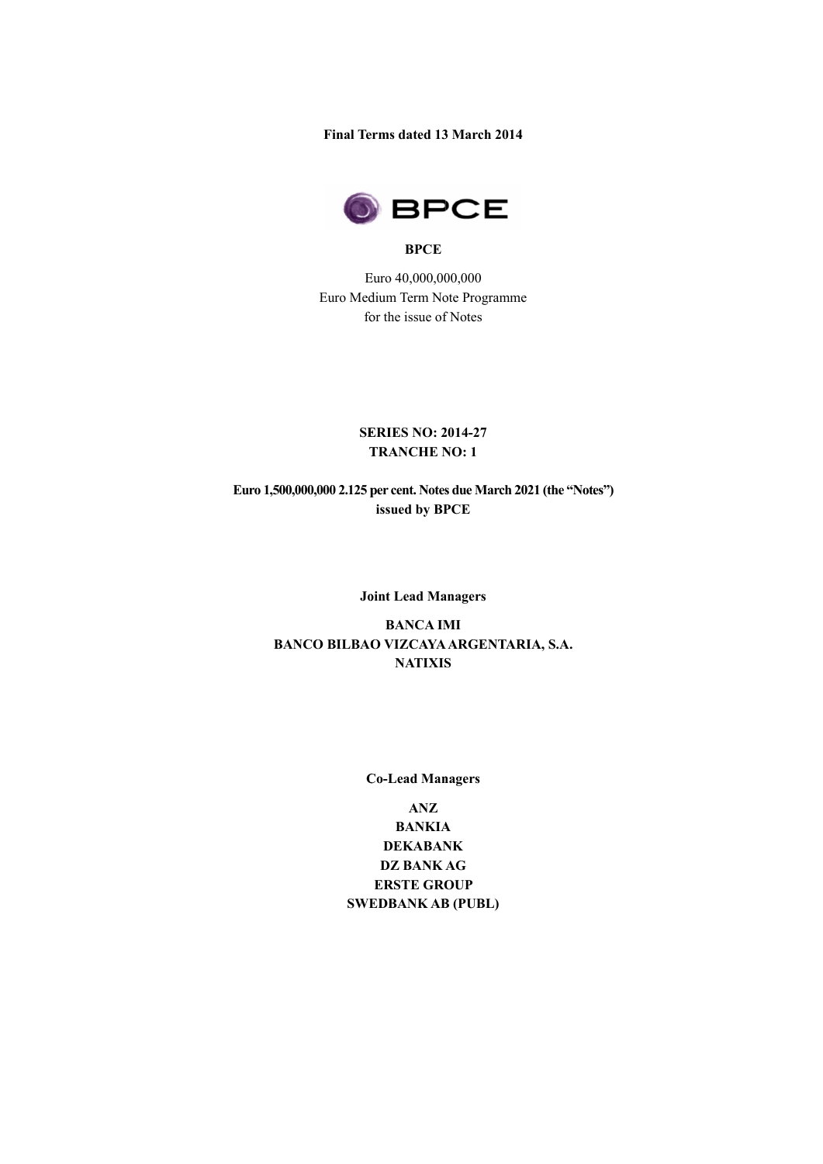**Final Terms dated 13 3 March 2014**



## **BPCE**

Euro 40,000,000,000 Euro Medium Term Note Programme for the issue of Notes

## **SERIES NO: 201 2014-27 TRANCHE NO: 1**

**Euro 1,500,000,000 ,000,000 2.125 per cent. Notes due March 202 issued by BPCE** 

#### **Joint Lead Manager Managers**

# **BANCO BILBAO VIZCAYA ARGENTARIA, S.A S.A. BANCA IMI NATIXIS**

#### **Co Co-Lead Manager Lead Managers**

**SWED SWEDBANK AB (PUBL) ANZ BANKIA DEKABANK DZ BANK AG ERSTE GROUP IDZ AB PCCE**<br> **DZ ACCO**<br> **DZ ACCO**<br> **DZ ACCO**<br> **DZ ACCO**<br> **CO**<br> **CO**<br> **CO**<br> **CO**<br> **CO**<br> **CO**<br> **CO**<br> **CO**<br> **CO**<br> **CO**<br> **CO**<br> **CO**<br> **CO**<br> **CO**<br> **CO**<br> **CO**<br> **CO**<br> **CO**<br> **CO**<br> **CO**<br> **CO**<br> **CO**<br> **CO**<br> **CO**<br> **CO**<br> **CO**<br> **CO**<br>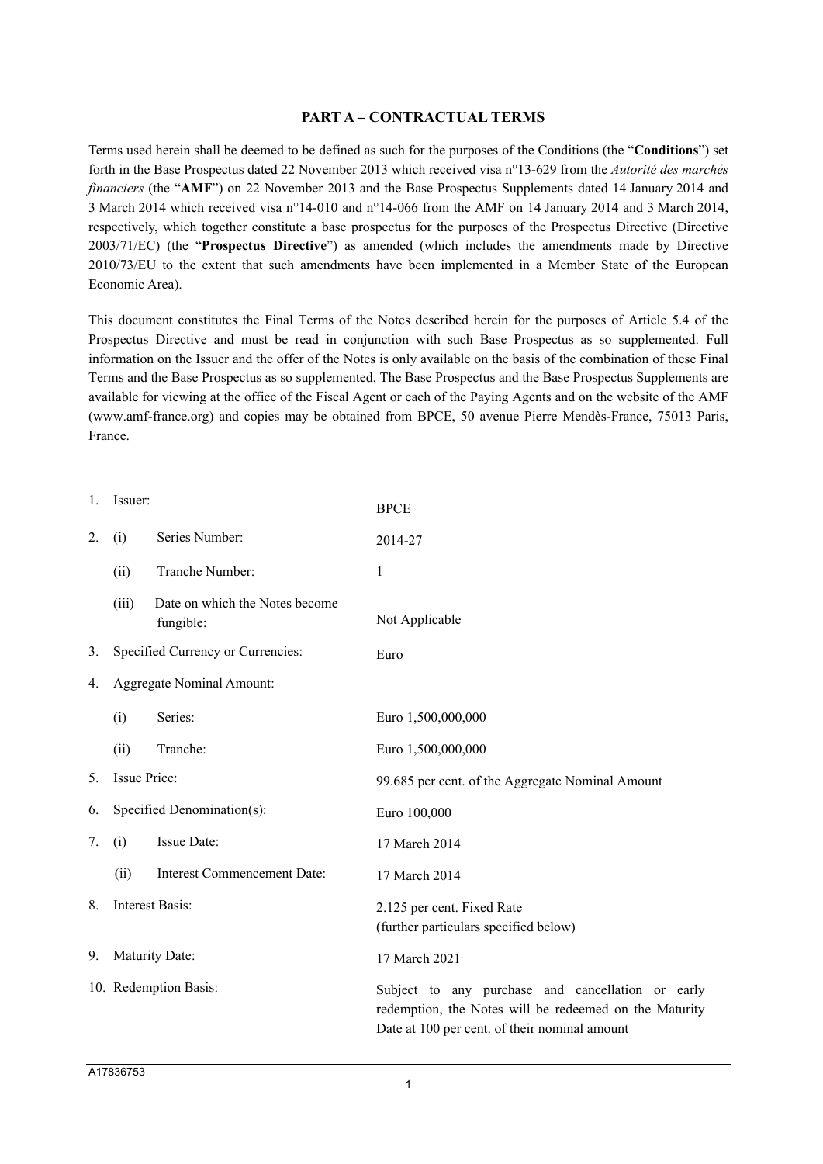## **PART A – CONTRACTUAL TERMS**

Terms used herein shall be deemed to be defined as such for the purposes of the Conditions (the "**Conditions**") set forth in the Base Prospectus dated 22 November 2013 which received visa n°13-629 from the *Autorité des marchés financiers* (the "**AMF**") on 22 November 2013 and the Base Prospectus Supplements dated 14 January 2014 and 3 March 2014 which received visa n°14-010 and n°14-066 from the AMF on 14 January 2014 and 3 March 2014, respectively, which together constitute a base prospectus for the purposes of the Prospectus Directive (Directive 2003/71/EC) (the "**Prospectus Directive**") as amended (which includes the amendments made by Directive 2010/73/EU to the extent that such amendments have been implemented in a Member State of the European Economic Area).

This document constitutes the Final Terms of the Notes described herein for the purposes of Article 5.4 of the Prospectus Directive and must be read in conjunction with such Base Prospectus as so supplemented. Full information on the Issuer and the offer of the Notes is only available on the basis of the combination of these Final Terms and the Base Prospectus as so supplemented. The Base Prospectus and the Base Prospectus Supplements are available for viewing at the office of the Fiscal Agent or each of the Paying Agents and on the website of the AMF (www.amf-france.org) and copies may be obtained from BPCE, 50 avenue Pierre Mendès-France, 75013 Paris, France.

| 1. | Issuer:                           |                                             | <b>BPCE</b>                                                                                                                                                  |  |
|----|-----------------------------------|---------------------------------------------|--------------------------------------------------------------------------------------------------------------------------------------------------------------|--|
| 2. | (i)                               | Series Number:                              | 2014-27                                                                                                                                                      |  |
|    | (ii)                              | Tranche Number:                             | 1                                                                                                                                                            |  |
|    | (iii)                             | Date on which the Notes become<br>fungible: | Not Applicable                                                                                                                                               |  |
| 3. | Specified Currency or Currencies: |                                             | Euro                                                                                                                                                         |  |
| 4. | <b>Aggregate Nominal Amount:</b>  |                                             |                                                                                                                                                              |  |
|    | (i)                               | Series:                                     | Euro 1,500,000,000                                                                                                                                           |  |
|    | (ii)                              | Tranche:                                    | Euro 1,500,000,000                                                                                                                                           |  |
| 5. | <b>Issue Price:</b>               |                                             | 99.685 per cent. of the Aggregate Nominal Amount                                                                                                             |  |
| 6. | Specified Denomination(s):        |                                             | Euro 100,000                                                                                                                                                 |  |
| 7. | (i)                               | Issue Date:                                 | 17 March 2014                                                                                                                                                |  |
|    | (ii)                              | <b>Interest Commencement Date:</b>          | 17 March 2014                                                                                                                                                |  |
| 8. | Interest Basis:                   |                                             | 2.125 per cent. Fixed Rate<br>(further particulars specified below)                                                                                          |  |
| 9. | Maturity Date:                    |                                             | 17 March 2021                                                                                                                                                |  |
|    | 10. Redemption Basis:             |                                             | Subject to any purchase and cancellation or early<br>redemption, the Notes will be redeemed on the Maturity<br>Date at 100 per cent. of their nominal amount |  |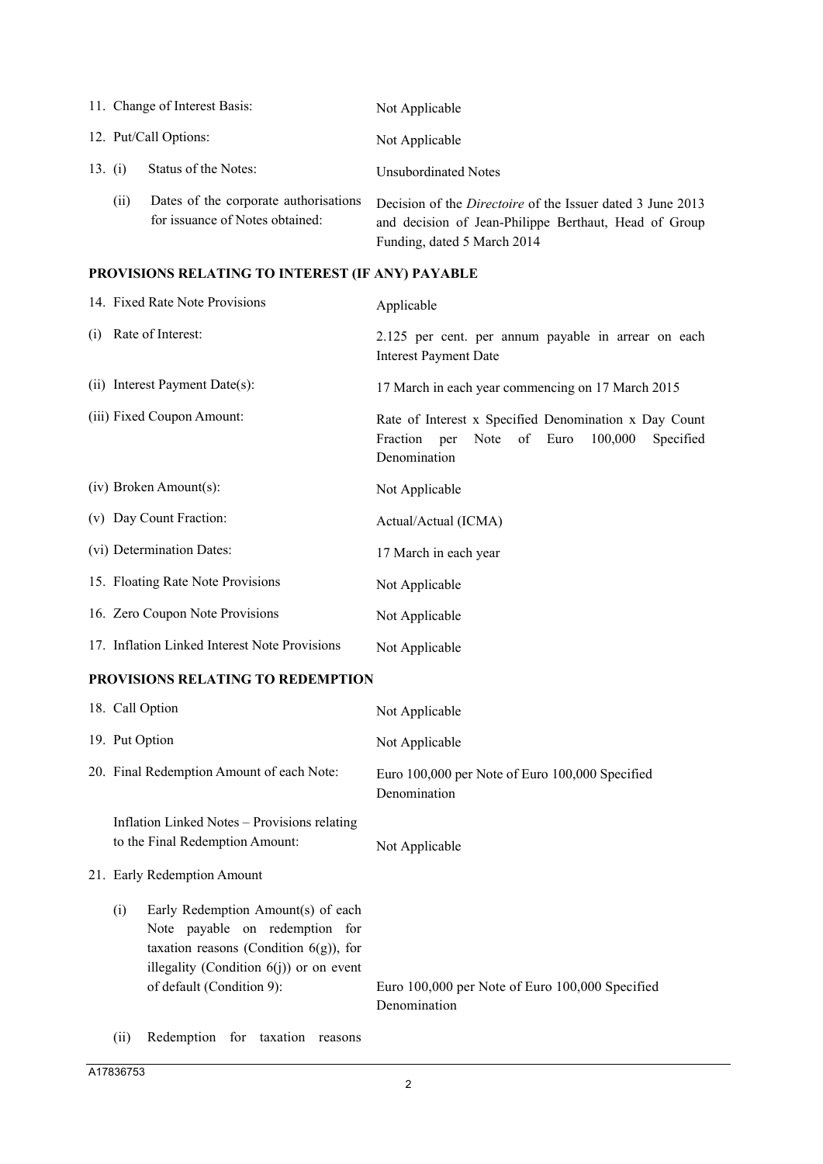|         |                       | 11. Change of Interest Basis:                                            | Not Applicable                                                                                                                                            |
|---------|-----------------------|--------------------------------------------------------------------------|-----------------------------------------------------------------------------------------------------------------------------------------------------------|
|         | 12. Put/Call Options: |                                                                          | Not Applicable                                                                                                                                            |
| 13. (i) |                       | Status of the Notes:                                                     | Unsubordinated Notes                                                                                                                                      |
|         | (i)                   | Dates of the corporate authorisations<br>for issuance of Notes obtained: | Decision of the <i>Directoire</i> of the Issuer dated 3 June 2013<br>and decision of Jean-Philippe Berthaut, Head of Group<br>Funding, dated 5 March 2014 |

# **PROVISIONS RELATING TO INTEREST (IF ANY) PAYABLE**

|     | 14. Fixed Rate Note Provisions                | Applicable                                                                                                                       |
|-----|-----------------------------------------------|----------------------------------------------------------------------------------------------------------------------------------|
| (i) | Rate of Interest:                             | 2.125 per cent. per annum payable in arrear on each<br><b>Interest Payment Date</b>                                              |
|     | (ii) Interest Payment Date(s):                | 17 March in each year commencing on 17 March 2015                                                                                |
|     | (iii) Fixed Coupon Amount:                    | Rate of Interest x Specified Denomination x Day Count<br>Note of Euro<br>100,000<br>Fraction<br>Specified<br>per<br>Denomination |
|     | $(iv)$ Broken Amount $(s)$ :                  | Not Applicable                                                                                                                   |
|     | (v) Day Count Fraction:                       | Actual/Actual (ICMA)                                                                                                             |
|     | (vi) Determination Dates:                     | 17 March in each year                                                                                                            |
|     | 15. Floating Rate Note Provisions             | Not Applicable                                                                                                                   |
|     | 16. Zero Coupon Note Provisions               | Not Applicable                                                                                                                   |
|     | 17. Inflation Linked Interest Note Provisions | Not Applicable                                                                                                                   |

## **PROVISIONS RELATING TO REDEMPTION**

| 18. Call Option                                                                                                                                                                                     | Not Applicable                                                  |
|-----------------------------------------------------------------------------------------------------------------------------------------------------------------------------------------------------|-----------------------------------------------------------------|
| 19. Put Option                                                                                                                                                                                      | Not Applicable                                                  |
| 20. Final Redemption Amount of each Note:                                                                                                                                                           | Euro 100,000 per Note of Euro 100,000 Specified<br>Denomination |
| Inflation Linked Notes – Provisions relating<br>to the Final Redemption Amount:                                                                                                                     | Not Applicable                                                  |
| 21. Early Redemption Amount                                                                                                                                                                         |                                                                 |
| Early Redemption Amount(s) of each<br>(i)<br>Note payable on redemption for<br>taxation reasons (Condition $6(g)$ ), for<br>illegality (Condition $6(j)$ ) or on event<br>of default (Condition 9): | Euro 100,000 per Note of Euro 100,000 Specified<br>Denomination |

(ii) Redemption for taxation reasons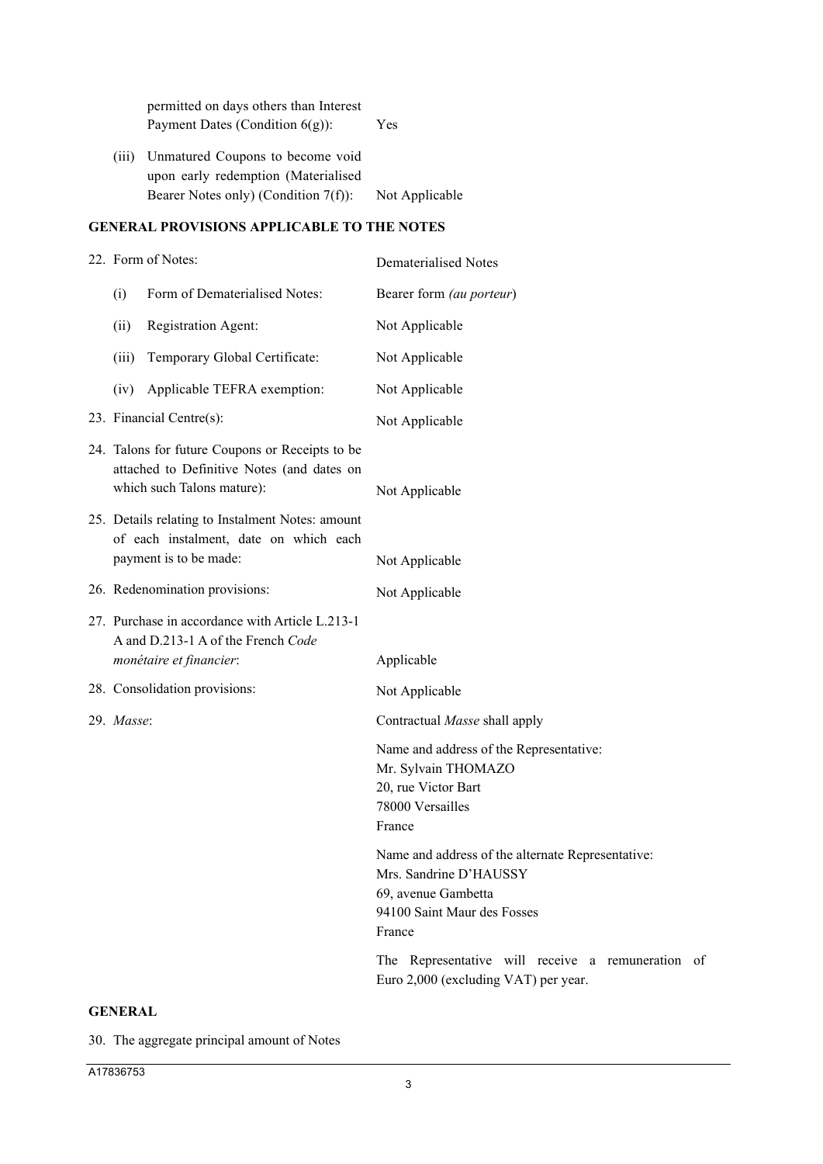|                                            | permitted on days others than Interest<br>Payment Dates (Condition $6(g)$ ):                                       | Yes            |  |
|--------------------------------------------|--------------------------------------------------------------------------------------------------------------------|----------------|--|
| (111)                                      | Unmatured Coupons to become void<br>upon early redemption (Materialised<br>Bearer Notes only) (Condition $7(f)$ ): | Not Applicable |  |
| GENERAL PROVISIONS APPLICABLE TO THE NOTES |                                                                                                                    |                |  |

# 22. Form of Notes: Dematerialised Notes (i) Form of Dematerialised Notes: Bearer form *(au porteur*) (ii) Registration Agent: Not Applicable (iii) Temporary Global Certificate: Not Applicable (iv) Applicable TEFRA exemption: Not Applicable 23. Financial Centre(s): Not Applicable 24. Talons for future Coupons or Receipts to be attached to Definitive Notes (and dates on which such Talons mature): Not Applicable 25. Details relating to Instalment Notes: amount of each instalment, date on which each payment is to be made: Not Applicable 26. Redenomination provisions: Not Applicable 27. Purchase in accordance with Article L.213-1 A and D.213-1 A of the French *Code monétaire et financier*: Applicable 28. Consolidation provisions: Not Applicable 29. *Masse*: Contractual *Masse* shall apply Name and address of the Representative: Mr. Sylvain THOMAZO 20, rue Victor Bart 78000 Versailles France Name and address of the alternate Representative: Mrs. Sandrine D'HAUSSY 69, avenue Gambetta 94100 Saint Maur des Fosses France The Representative will receive a remuneration of Euro 2,000 (excluding VAT) per year.

#### **GENERAL**

30. The aggregate principal amount of Notes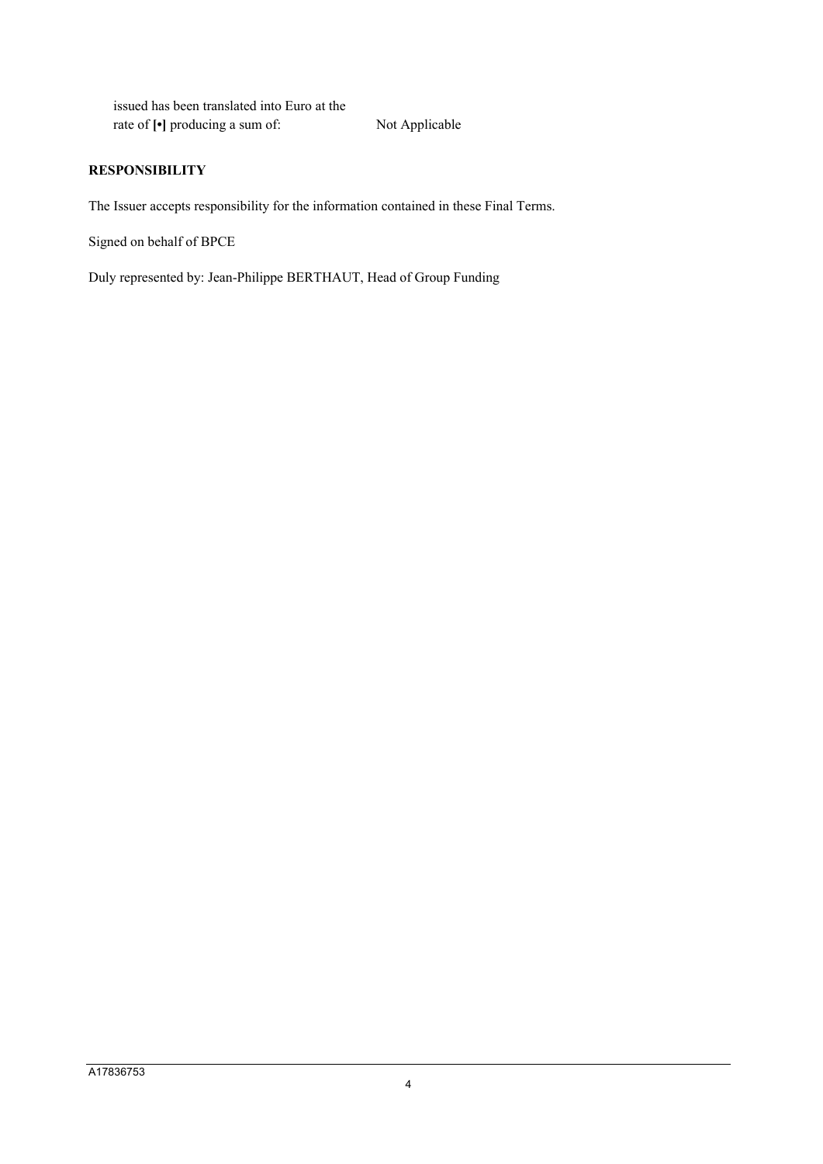issued has been translated into Euro at the rate of  $\lbrack \bullet \rbrack$  producing a sum of: Not Applicable

## **RESPONSIBILITY**

The Issuer accepts responsibility for the information contained in these Final Terms.

Signed on behalf of BPCE

Duly represented by: Jean-Philippe BERTHAUT, Head of Group Funding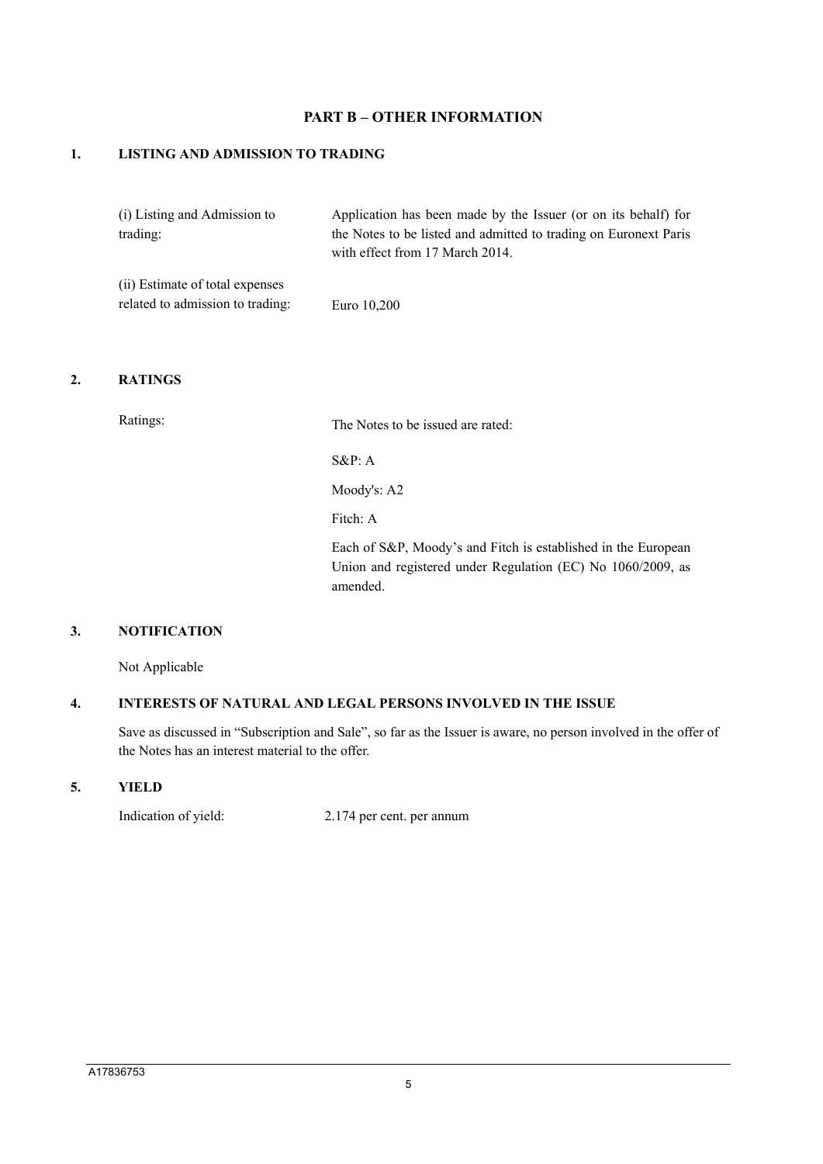## **PART B – OTHER INFORMATION**

## **1. LISTING AND ADMISSION TO TRADING**

| (i) Listing and Admission to    | Application has been made by the Issuer (or on its behalf) for                                      |
|---------------------------------|-----------------------------------------------------------------------------------------------------|
| trading:                        | the Notes to be listed and admitted to trading on Euronext Paris<br>with effect from 17 March 2014. |
| (ii) Estimate of total expenses |                                                                                                     |

| related to admission to trading: |  | Euro 10,200 |
|----------------------------------|--|-------------|
|----------------------------------|--|-------------|

## **2. RATINGS**

Ratings: The Notes to be issued are rated:

S&P: A

Moody's: A2

Fitch: A

Each of S&P, Moody's and Fitch is established in the European Union and registered under Regulation (EC) No 1060/2009, as amended.

## **3. NOTIFICATION**

Not Applicable

# **4. INTERESTS OF NATURAL AND LEGAL PERSONS INVOLVED IN THE ISSUE**

Save as discussed in "Subscription and Sale", so far as the Issuer is aware, no person involved in the offer of the Notes has an interest material to the offer.

## **5. YIELD**

Indication of yield: 2.174 per cent. per annum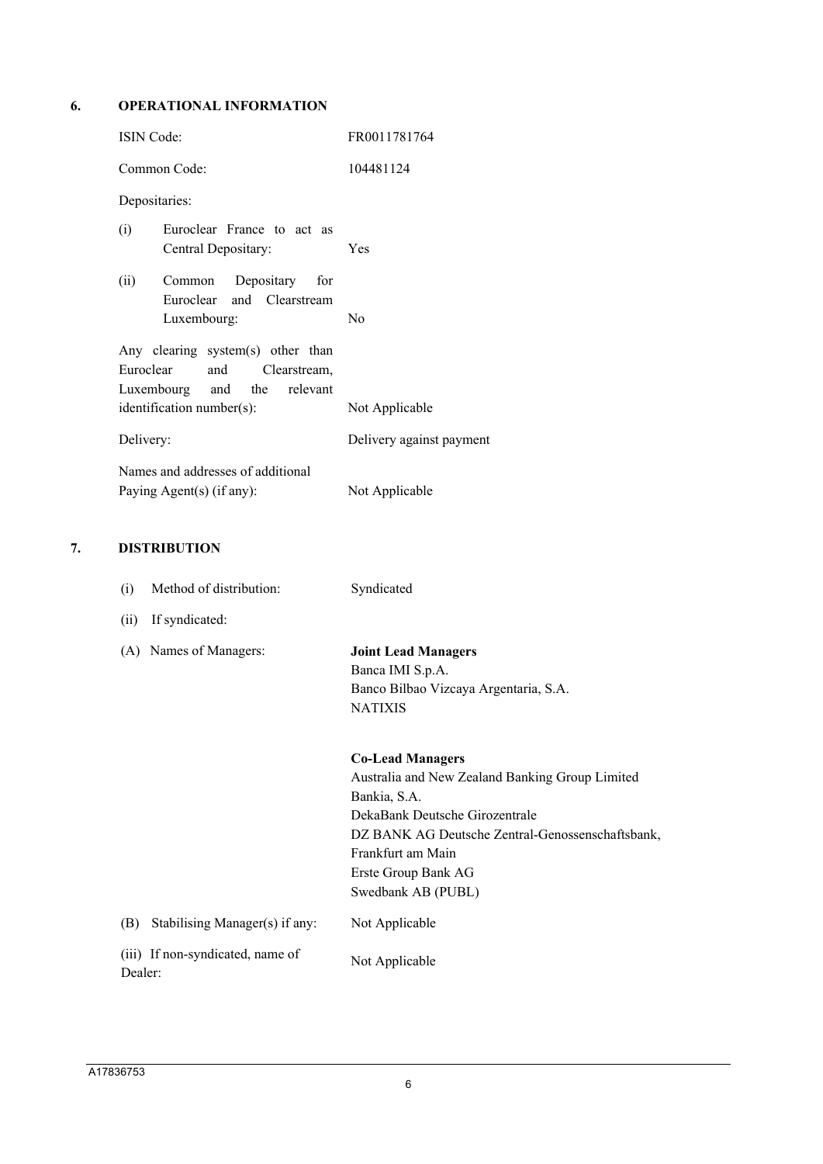#### **6. OPERATIONAL INFORMATION**

|    | ISIN Code:                                                                                                                                 | FR0011781764                                                                                              |
|----|--------------------------------------------------------------------------------------------------------------------------------------------|-----------------------------------------------------------------------------------------------------------|
|    | Common Code:                                                                                                                               | 104481124                                                                                                 |
|    | Depositaries:                                                                                                                              |                                                                                                           |
|    | Euroclear France to act as<br>(i)<br>Central Depositary:                                                                                   | Yes                                                                                                       |
|    | (ii)<br>Common<br>Depositary<br>for<br>Euroclear<br>and Clearstream<br>Luxembourg:                                                         | No                                                                                                        |
|    | Any clearing system(s) other than<br>Euroclear<br>and<br>Clearstream,<br>Luxembourg<br>relevant<br>and<br>the<br>identification number(s): | Not Applicable                                                                                            |
|    | Delivery:                                                                                                                                  | Delivery against payment                                                                                  |
|    | Names and addresses of additional<br>Paying Agent(s) (if any):                                                                             | Not Applicable                                                                                            |
| 7. | <b>DISTRIBUTION</b>                                                                                                                        |                                                                                                           |
|    | Method of distribution:<br>(i)<br>If syndicated:<br>(ii)                                                                                   | Syndicated                                                                                                |
|    | (A) Names of Managers:                                                                                                                     | <b>Joint Lead Managers</b><br>Banca IMI S.p.A.<br>Banco Bilbao Vizcaya Argentaria, S.A.<br><b>NATIXIS</b> |
|    |                                                                                                                                            | <b>Co-Lead Managers</b>                                                                                   |

Australia and New Zealand Banking Group Limited Bankia, S.A. DekaBank Deutsche Girozentrale DZ BANK AG Deutsche Zentral-Genossenschaftsbank, Frankfurt am Main Erste Group Bank AG Swedbank AB (PUBL)

(B) Stabilising Manager(s) if any: Not Applicable

(iii) If non-syndicated, name of Dealer: Not Applicable